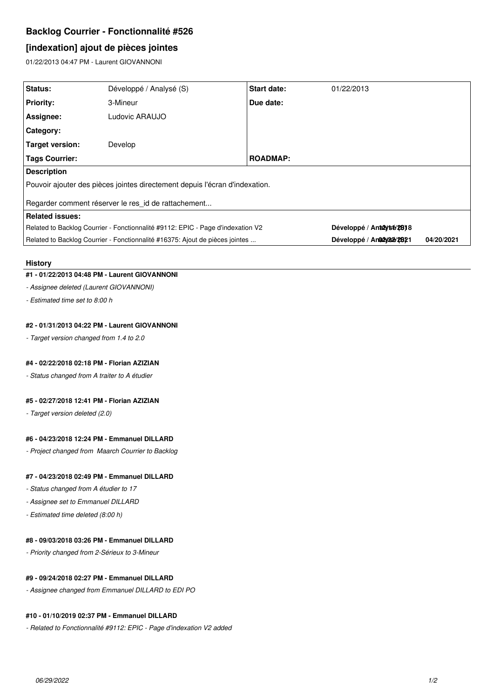# **Backlog Courrier - Fonctionnalité #526**

# **[indexation] ajout de pièces jointes**

01/22/2013 04:47 PM - Laurent GIOVANNONI

| Status:                                                                         | Développé / Analysé (S) | <b>Start date:</b> | 01/22/2013                 |            |
|---------------------------------------------------------------------------------|-------------------------|--------------------|----------------------------|------------|
| <b>Priority:</b>                                                                | 3-Mineur                | Due date:          |                            |            |
| Assignee:                                                                       | Ludovic ARAUJO          |                    |                            |            |
| <b>Category:</b>                                                                |                         |                    |                            |            |
| Target version:                                                                 | Develop                 |                    |                            |            |
| Tags Courrier:                                                                  |                         | <b>ROADMAP:</b>    |                            |            |
| <b>Description</b>                                                              |                         |                    |                            |            |
| Pouvoir ajouter des pièces jointes directement depuis l'écran d'indexation.     |                         |                    |                            |            |
| Regarder comment réserver le res id de rattachement                             |                         |                    |                            |            |
| <b>Related issues:</b>                                                          |                         |                    |                            |            |
| Related to Backlog Courrier - Fonctionnalité #9112: EPIC - Page d'indexation V2 |                         |                    | Développé / Antalytsé/2818 |            |
| Related to Backlog Courrier - Fonctionnalité #16375: Ajout de pièces jointes    |                         |                    | Développé / Ana2y232/2821  | 04/20/2021 |

#### **History**

# **#1 - 01/22/2013 04:48 PM - Laurent GIOVANNONI**

# *- Assignee deleted (Laurent GIOVANNONI)*

*- Estimated time set to 8:00 h*

### **#2 - 01/31/2013 04:22 PM - Laurent GIOVANNONI**

*- Target version changed from 1.4 to 2.0*

### **#4 - 02/22/2018 02:18 PM - Florian AZIZIAN**

*- Status changed from A traiter to A étudier*

# **#5 - 02/27/2018 12:41 PM - Florian AZIZIAN**

*- Target version deleted (2.0)*

#### **#6 - 04/23/2018 12:24 PM - Emmanuel DILLARD**

*- Project changed from Maarch Courrier to Backlog*

# **#7 - 04/23/2018 02:49 PM - Emmanuel DILLARD**

- *Status changed from A étudier to 17*
- *Assignee set to Emmanuel DILLARD*
- *Estimated time deleted (8:00 h)*

## **#8 - 09/03/2018 03:26 PM - Emmanuel DILLARD**

*- Priority changed from 2-Sérieux to 3-Mineur*

## **#9 - 09/24/2018 02:27 PM - Emmanuel DILLARD**

*- Assignee changed from Emmanuel DILLARD to EDI PO*

## **#10 - 01/10/2019 02:37 PM - Emmanuel DILLARD**

*- Related to Fonctionnalité #9112: EPIC - Page d'indexation V2 added*